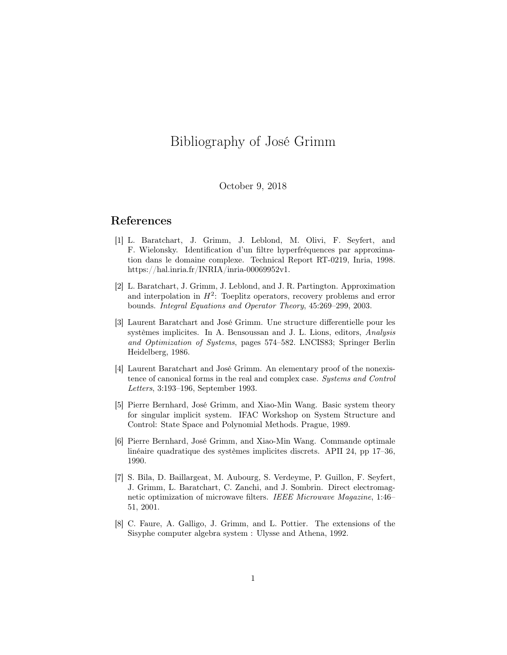## Bibliography of José Grimm

## October 9, 2018

## References

- [1] L. Baratchart, J. Grimm, J. Leblond, M. Olivi, F. Seyfert, and F. Wielonsky. Identification d'un filtre hyperfréquences par approximation dans le domaine complexe. Technical Report RT-0219, Inria, 1998. https://hal.inria.fr/INRIA/inria-00069952v1.
- [2] L. Baratchart, J. Grimm, J. Leblond, and J. R. Partington. Approximation and interpolation in  $H^2$ : Toeplitz operators, recovery problems and error bounds. Integral Equations and Operator Theory, 45:269–299, 2003.
- [3] Laurent Baratchart and José Grimm. Une structure differentielle pour les systèmes implicites. In A. Bensoussan and J. L. Lions, editors, Analysis and Optimization of Systems, pages 574–582. LNCIS83; Springer Berlin Heidelberg, 1986.
- [4] Laurent Baratchart and José Grimm. An elementary proof of the nonexistence of canonical forms in the real and complex case. Systems and Control Letters, 3:193–196, September 1993.
- [5] Pierre Bernhard, José Grimm, and Xiao-Min Wang. Basic system theory for singular implicit system. IFAC Workshop on System Structure and Control: State Space and Polynomial Methods. Prague, 1989.
- [6] Pierre Bernhard, José Grimm, and Xiao-Min Wang. Commande optimale linéaire quadratique des systèmes implicites discrets. APII 24, pp 17–36, 1990.
- [7] S. Bila, D. Baillargeat, M. Aubourg, S. Verdeyme, P. Guillon, F. Seyfert, J. Grimm, L. Baratchart, C. Zanchi, and J. Sombrin. Direct electromagnetic optimization of microwave filters. IEEE Microwave Magazine, 1:46– 51, 2001.
- [8] C. Faure, A. Galligo, J. Grimm, and L. Pottier. The extensions of the Sisyphe computer algebra system : Ulysse and Athena, 1992.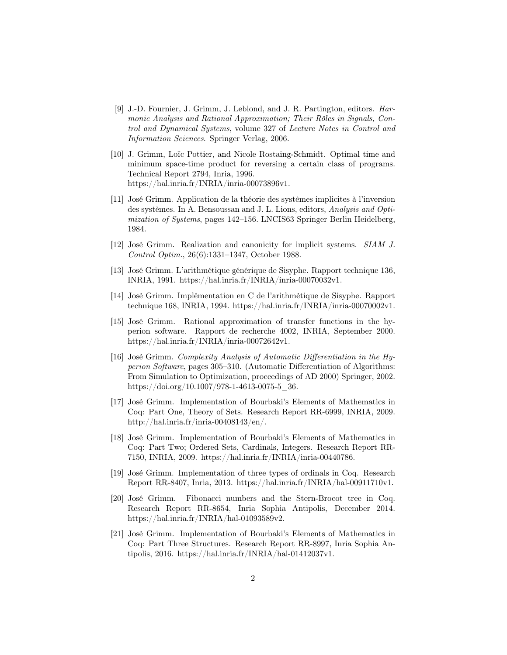- [9] J.-D. Fournier, J. Grimm, J. Leblond, and J. R. Partington, editors. Harmonic Analysis and Rational Approximation; Their Rôles in Signals, Control and Dynamical Systems, volume 327 of Lecture Notes in Control and Information Sciences. Springer Verlag, 2006.
- [10] J. Grimm, Loïc Pottier, and Nicole Rostaing-Schmidt. Optimal time and minimum space-time product for reversing a certain class of programs. Technical Report 2794, Inria, 1996. https://hal.inria.fr/INRIA/inria-00073896v1.
- [11] José Grimm. Application de la théorie des systèmes implicites à l'inversion des systèmes. In A. Bensoussan and J. L. Lions, editors, Analysis and Optimization of Systems, pages 142–156. LNCIS63 Springer Berlin Heidelberg, 1984.
- [12] José Grimm. Realization and canonicity for implicit systems. SIAM J. Control Optim., 26(6):1331–1347, October 1988.
- [13] José Grimm. L'arithmétique générique de Sisyphe. Rapport technique 136, INRIA, 1991. https://hal.inria.fr/INRIA/inria-00070032v1.
- [14] José Grimm. Implémentation en C de l'arithmétique de Sisyphe. Rapport technique 168, INRIA, 1994. https://hal.inria.fr/INRIA/inria-00070002v1.
- [15] José Grimm. Rational approximation of transfer functions in the hyperion software. Rapport de recherche 4002, INRIA, September 2000. https://hal.inria.fr/INRIA/inria-00072642v1.
- [16] José Grimm. Complexity Analysis of Automatic Differentiation in the Hyperion Software, pages 305–310. (Automatic Differentiation of Algorithms: From Simulation to Optimization, proceedings of AD 2000) Springer, 2002. https://doi.org/10.1007/978-1-4613-0075-5\_36.
- [17] José Grimm. Implementation of Bourbaki's Elements of Mathematics in Coq: Part One, Theory of Sets. Research Report RR-6999, INRIA, 2009. http://hal.inria.fr/inria-00408143/en/.
- [18] José Grimm. Implementation of Bourbaki's Elements of Mathematics in Coq: Part Two; Ordered Sets, Cardinals, Integers. Research Report RR-7150, INRIA, 2009. https://hal.inria.fr/INRIA/inria-00440786.
- [19] José Grimm. Implementation of three types of ordinals in Coq. Research Report RR-8407, Inria, 2013. https://hal.inria.fr/INRIA/hal-00911710v1.
- [20] José Grimm. Fibonacci numbers and the Stern-Brocot tree in Coq. Research Report RR-8654, Inria Sophia Antipolis, December 2014. https://hal.inria.fr/INRIA/hal-01093589v2.
- [21] José Grimm. Implementation of Bourbaki's Elements of Mathematics in Coq: Part Three Structures. Research Report RR-8997, Inria Sophia Antipolis, 2016. https://hal.inria.fr/INRIA/hal-01412037v1.